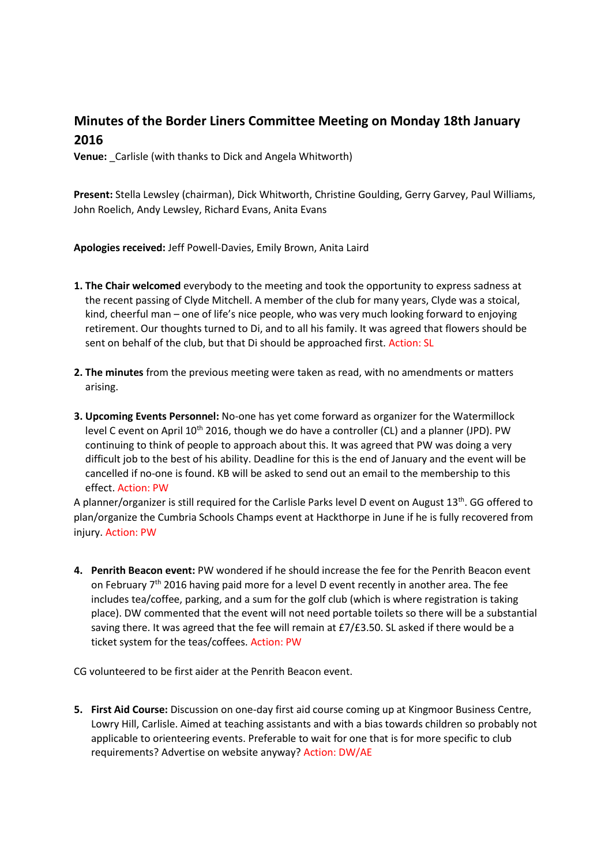# **Minutes of the Border Liners Committee Meeting on Monday 18th January 2016**

**Venue:** Carlisle (with thanks to Dick and Angela Whitworth)

**Present:** Stella Lewsley (chairman), Dick Whitworth, Christine Goulding, Gerry Garvey, Paul Williams, John Roelich, Andy Lewsley, Richard Evans, Anita Evans

**Apologies received:** Jeff Powell-Davies, Emily Brown, Anita Laird

- **1. The Chair welcomed** everybody to the meeting and took the opportunity to express sadness at the recent passing of Clyde Mitchell. A member of the club for many years, Clyde was a stoical, kind, cheerful man – one of life's nice people, who was very much looking forward to enjoying retirement. Our thoughts turned to Di, and to all his family. It was agreed that flowers should be sent on behalf of the club, but that Di should be approached first. Action: SL
- **2. The minutes** from the previous meeting were taken as read, with no amendments or matters arising.
- **3. Upcoming Events Personnel:** No-one has yet come forward as organizer for the Watermillock level C event on April 10<sup>th</sup> 2016, though we do have a controller (CL) and a planner (JPD). PW continuing to think of people to approach about this. It was agreed that PW was doing a very difficult job to the best of his ability. Deadline for this is the end of January and the event will be cancelled if no-one is found. KB will be asked to send out an email to the membership to this effect. Action: PW

A planner/organizer is still required for the Carlisle Parks level D event on August 13<sup>th</sup>. GG offered to plan/organize the Cumbria Schools Champs event at Hackthorpe in June if he is fully recovered from injury. Action: PW

**4. Penrith Beacon event:** PW wondered if he should increase the fee for the Penrith Beacon event on February 7<sup>th</sup> 2016 having paid more for a level D event recently in another area. The fee includes tea/coffee, parking, and a sum for the golf club (which is where registration is taking place). DW commented that the event will not need portable toilets so there will be a substantial saving there. It was agreed that the fee will remain at £7/£3.50. SL asked if there would be a ticket system for the teas/coffees. Action: PW

CG volunteered to be first aider at the Penrith Beacon event.

**5. First Aid Course:** Discussion on one-day first aid course coming up at Kingmoor Business Centre, Lowry Hill, Carlisle. Aimed at teaching assistants and with a bias towards children so probably not applicable to orienteering events. Preferable to wait for one that is for more specific to club requirements? Advertise on website anyway? Action: DW/AE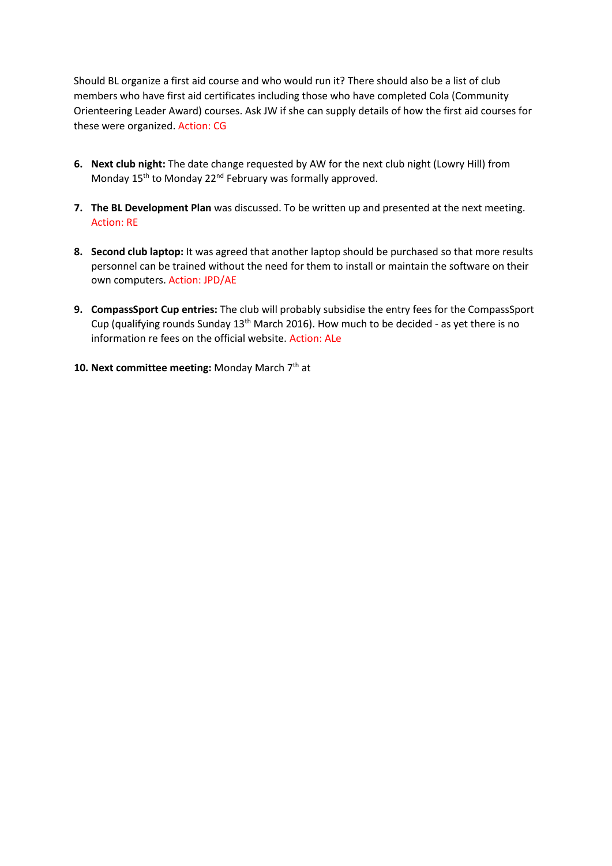Should BL organize a first aid course and who would run it? There should also be a list of club members who have first aid certificates including those who have completed Cola (Community Orienteering Leader Award) courses. Ask JW if she can supply details of how the first aid courses for these were organized. Action: CG

- **6. Next club night:** The date change requested by AW for the next club night (Lowry Hill) from Monday 15<sup>th</sup> to Monday 22<sup>nd</sup> February was formally approved.
- **7. The BL Development Plan** was discussed. To be written up and presented at the next meeting. Action: RE
- **8. Second club laptop:** It was agreed that another laptop should be purchased so that more results personnel can be trained without the need for them to install or maintain the software on their own computers. Action: JPD/AE
- **9. CompassSport Cup entries:** The club will probably subsidise the entry fees for the CompassSport Cup (qualifying rounds Sunday  $13<sup>th</sup>$  March 2016). How much to be decided - as yet there is no information re fees on the official website. Action: ALe
- 10. Next committee meeting: Monday March 7<sup>th</sup> at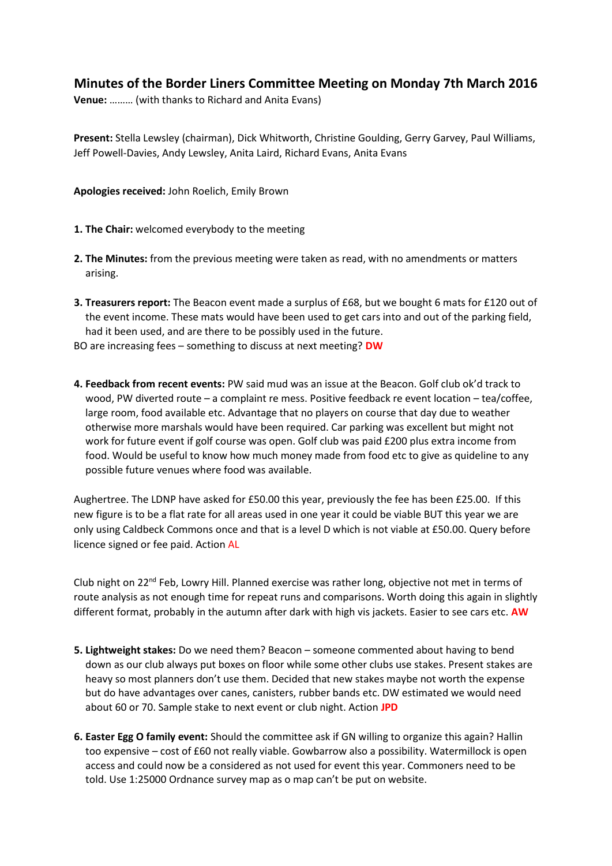## **Minutes of the Border Liners Committee Meeting on Monday 7th March 2016**

**Venue:** ……… (with thanks to Richard and Anita Evans)

**Present:** Stella Lewsley (chairman), Dick Whitworth, Christine Goulding, Gerry Garvey, Paul Williams, Jeff Powell-Davies, Andy Lewsley, Anita Laird, Richard Evans, Anita Evans

**Apologies received:** John Roelich, Emily Brown

- **1. The Chair:** welcomed everybody to the meeting
- **2. The Minutes:** from the previous meeting were taken as read, with no amendments or matters arising.
- **3. Treasurers report:** The Beacon event made a surplus of £68, but we bought 6 mats for £120 out of the event income. These mats would have been used to get cars into and out of the parking field, had it been used, and are there to be possibly used in the future.

BO are increasing fees – something to discuss at next meeting? **DW**

**4. Feedback from recent events:** PW said mud was an issue at the Beacon. Golf club ok'd track to wood, PW diverted route – a complaint re mess. Positive feedback re event location – tea/coffee, large room, food available etc. Advantage that no players on course that day due to weather otherwise more marshals would have been required. Car parking was excellent but might not work for future event if golf course was open. Golf club was paid £200 plus extra income from food. Would be useful to know how much money made from food etc to give as quideline to any possible future venues where food was available.

Aughertree. The LDNP have asked for £50.00 this year, previously the fee has been £25.00. If this new figure is to be a flat rate for all areas used in one year it could be viable BUT this year we are only using Caldbeck Commons once and that is a level D which is not viable at £50.00. Query before licence signed or fee paid. Action AL

Club night on 22<sup>nd</sup> Feb, Lowry Hill. Planned exercise was rather long, objective not met in terms of route analysis as not enough time for repeat runs and comparisons. Worth doing this again in slightly different format, probably in the autumn after dark with high vis jackets. Easier to see cars etc. **AW**

- **5. Lightweight stakes:** Do we need them? Beacon someone commented about having to bend down as our club always put boxes on floor while some other clubs use stakes. Present stakes are heavy so most planners don't use them. Decided that new stakes maybe not worth the expense but do have advantages over canes, canisters, rubber bands etc. DW estimated we would need about 60 or 70. Sample stake to next event or club night. Action **JPD**
- **6. Easter Egg O family event:** Should the committee ask if GN willing to organize this again? Hallin too expensive – cost of £60 not really viable. Gowbarrow also a possibility. Watermillock is open access and could now be a considered as not used for event this year. Commoners need to be told. Use 1:25000 Ordnance survey map as o map can't be put on website.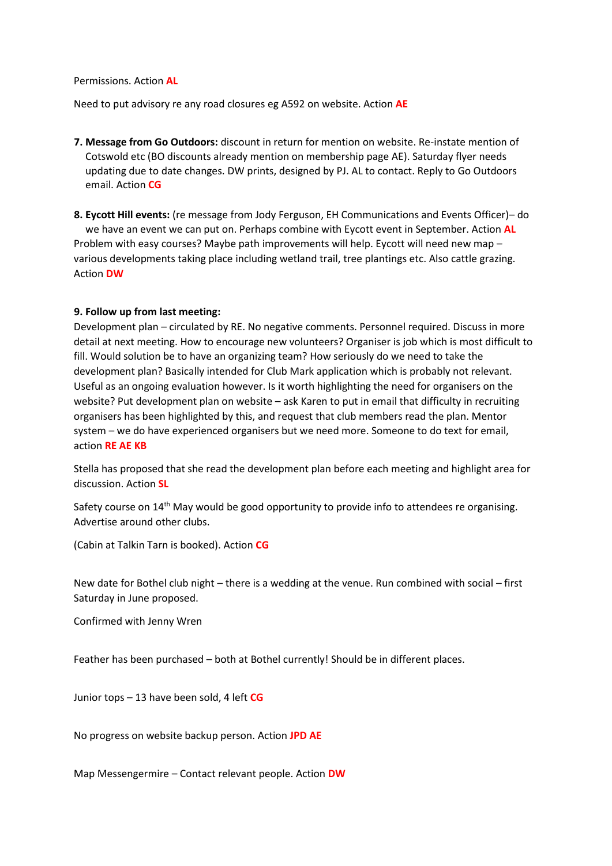Permissions. Action **AL**

Need to put advisory re any road closures eg A592 on website. Action **AE**

- **7. Message from Go Outdoors:** discount in return for mention on website. Re-instate mention of Cotswold etc (BO discounts already mention on membership page AE). Saturday flyer needs updating due to date changes. DW prints, designed by PJ. AL to contact. Reply to Go Outdoors email. Action **CG**
- **8. Eycott Hill events:** (re message from Jody Ferguson, EH Communications and Events Officer)– do we have an event we can put on. Perhaps combine with Eycott event in September. Action **AL** Problem with easy courses? Maybe path improvements will help. Eycott will need new map – various developments taking place including wetland trail, tree plantings etc. Also cattle grazing. Action **DW**

#### **9. Follow up from last meeting:**

Development plan – circulated by RE. No negative comments. Personnel required. Discuss in more detail at next meeting. How to encourage new volunteers? Organiser is job which is most difficult to fill. Would solution be to have an organizing team? How seriously do we need to take the development plan? Basically intended for Club Mark application which is probably not relevant. Useful as an ongoing evaluation however. Is it worth highlighting the need for organisers on the website? Put development plan on website – ask Karen to put in email that difficulty in recruiting organisers has been highlighted by this, and request that club members read the plan. Mentor system – we do have experienced organisers but we need more. Someone to do text for email, action **RE AE KB**

Stella has proposed that she read the development plan before each meeting and highlight area for discussion. Action **SL**

Safety course on  $14<sup>th</sup>$  May would be good opportunity to provide info to attendees re organising. Advertise around other clubs.

(Cabin at Talkin Tarn is booked). Action **CG**

New date for Bothel club night – there is a wedding at the venue. Run combined with social – first Saturday in June proposed.

Confirmed with Jenny Wren

Feather has been purchased – both at Bothel currently! Should be in different places.

Junior tops – 13 have been sold, 4 left **CG**

No progress on website backup person. Action **JPD AE**

Map Messengermire – Contact relevant people. Action **DW**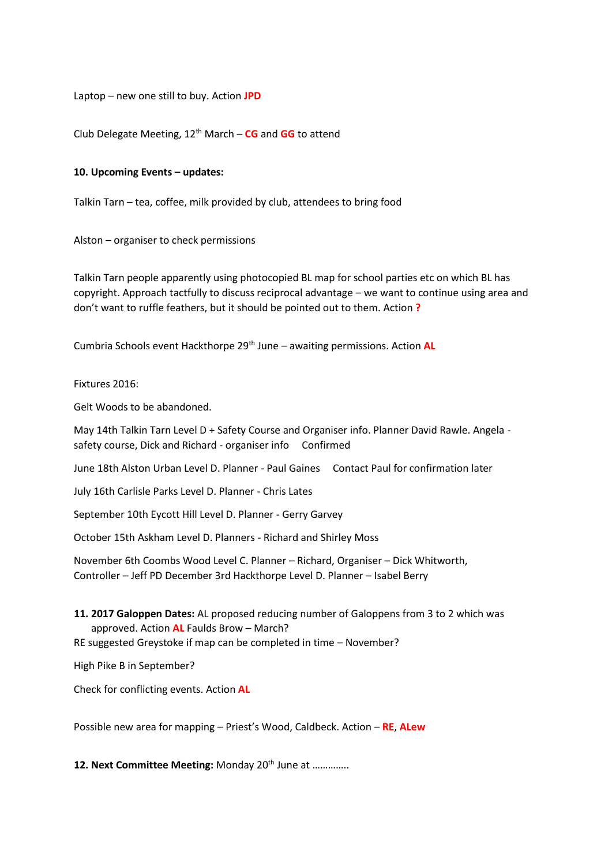Laptop – new one still to buy. Action **JPD**

Club Delegate Meeting, 12th March – **CG** and **GG** to attend

#### **10. Upcoming Events – updates:**

Talkin Tarn – tea, coffee, milk provided by club, attendees to bring food

Alston – organiser to check permissions

Talkin Tarn people apparently using photocopied BL map for school parties etc on which BL has copyright. Approach tactfully to discuss reciprocal advantage – we want to continue using area and don't want to ruffle feathers, but it should be pointed out to them. Action **?**

Cumbria Schools event Hackthorpe 29<sup>th</sup> June – awaiting permissions. Action **AL** 

#### Fixtures 2016:

Gelt Woods to be abandoned.

May 14th Talkin Tarn Level D + Safety Course and Organiser info. Planner David Rawle. Angela safety course, Dick and Richard - organiser info Confirmed

June 18th Alston Urban Level D. Planner - Paul Gaines Contact Paul for confirmation later

July 16th Carlisle Parks Level D. Planner - Chris Lates

September 10th Eycott Hill Level D. Planner - Gerry Garvey

October 15th Askham Level D. Planners - Richard and Shirley Moss

November 6th Coombs Wood Level C. Planner – Richard, Organiser – Dick Whitworth, Controller – Jeff PD December 3rd Hackthorpe Level D. Planner – Isabel Berry

**11. 2017 Galoppen Dates:** AL proposed reducing number of Galoppens from 3 to 2 which was approved. Action **AL** Faulds Brow – March?

RE suggested Greystoke if map can be completed in time – November?

High Pike B in September?

Check for conflicting events. Action **AL**

Possible new area for mapping – Priest's Wood, Caldbeck. Action – **RE**, **ALew**

12. Next Committee Meeting: Monday 20<sup>th</sup> June at ..............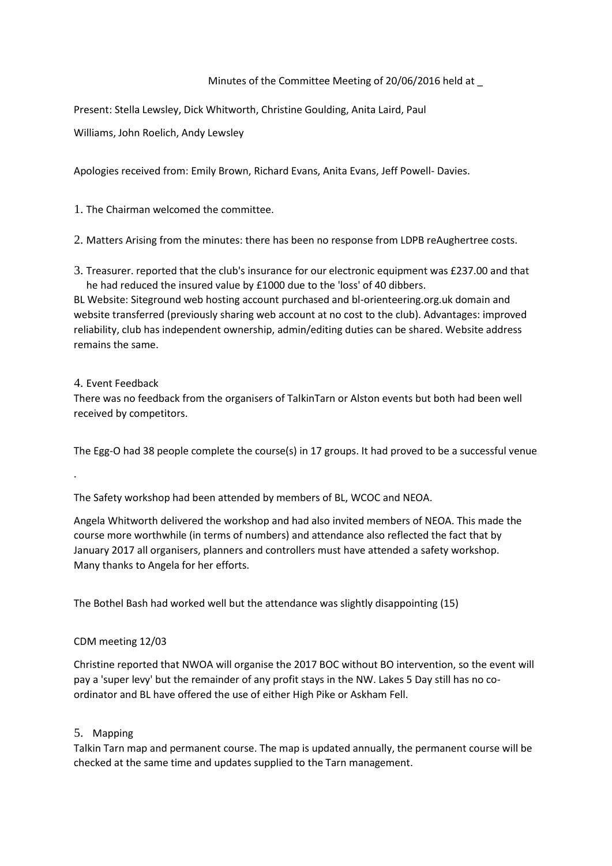### Minutes of the Committee Meeting of 20/06/2016 held at \_

Present: Stella Lewsley, Dick Whitworth, Christine Goulding, Anita Laird, Paul

Williams, John Roelich, Andy Lewsley

Apologies received from: Emily Brown, Richard Evans, Anita Evans, Jeff Powell- Davies.

1. The Chairman welcomed the committee.

2. Matters Arising from the minutes: there has been no response from LDPB reAughertree costs.

3. Treasurer. reported that the club's insurance for our electronic equipment was £237.00 and that he had reduced the insured value by £1000 due to the 'loss' of 40 dibbers.

BL Website: Siteground web hosting account purchased and bl-orienteering.org.uk domain and website transferred (previously sharing web account at no cost to the club). Advantages: improved reliability, club has independent ownership, admin/editing duties can be shared. Website address remains the same.

### 4. Event Feedback

.

There was no feedback from the organisers of TalkinTarn or Alston events but both had been well received by competitors.

The Egg-O had 38 people complete the course(s) in 17 groups. It had proved to be a successful venue

The Safety workshop had been attended by members of BL, WCOC and NEOA.

Angela Whitworth delivered the workshop and had also invited members of NEOA. This made the course more worthwhile (in terms of numbers) and attendance also reflected the fact that by January 2017 all organisers, planners and controllers must have attended a safety workshop. Many thanks to Angela for her efforts.

The Bothel Bash had worked well but the attendance was slightly disappointing (15)

### CDM meeting 12/03

Christine reported that NWOA will organise the 2017 BOC without BO intervention, so the event will pay a 'super levy' but the remainder of any profit stays in the NW. Lakes 5 Day still has no coordinator and BL have offered the use of either High Pike or Askham Fell.

### 5. Mapping

Talkin Tarn map and permanent course. The map is updated annually, the permanent course will be checked at the same time and updates supplied to the Tarn management.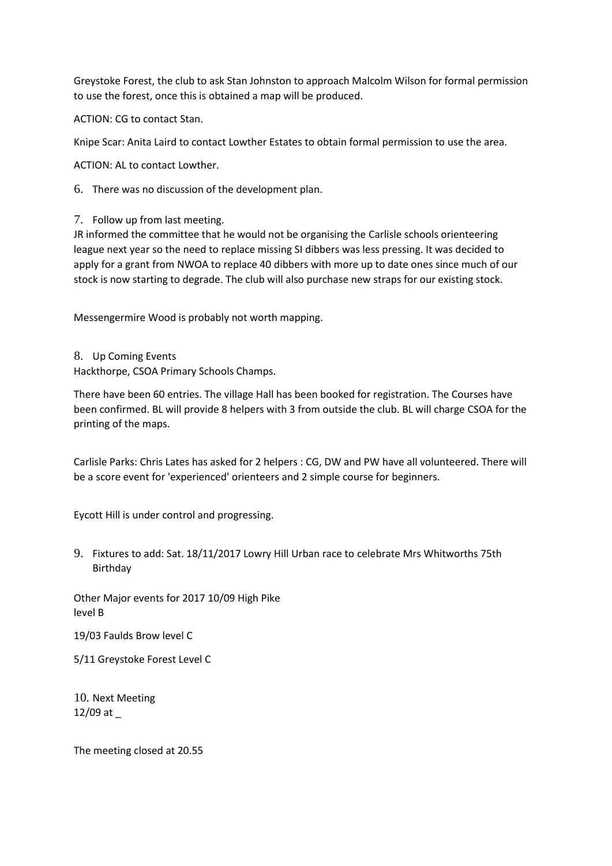Greystoke Forest, the club to ask Stan Johnston to approach Malcolm Wilson for formal permission to use the forest, once this is obtained a map will be produced.

ACTION: CG to contact Stan.

Knipe Scar: Anita Laird to contact Lowther Estates to obtain formal permission to use the area.

ACTION: AL to contact Lowther.

6. There was no discussion of the development plan.

7. Follow up from last meeting.

JR informed the committee that he would not be organising the Carlisle schools orienteering league next year so the need to replace missing SI dibbers was less pressing. It was decided to apply for a grant from NWOA to replace 40 dibbers with more up to date ones since much of our stock is now starting to degrade. The club will also purchase new straps for our existing stock.

Messengermire Wood is probably not worth mapping.

8. Up Coming Events Hackthorpe, CSOA Primary Schools Champs.

There have been 60 entries. The village Hall has been booked for registration. The Courses have been confirmed. BL will provide 8 helpers with 3 from outside the club. BL will charge CSOA for the printing of the maps.

Carlisle Parks: Chris Lates has asked for 2 helpers : CG, DW and PW have all volunteered. There will be a score event for 'experienced' orienteers and 2 simple course for beginners.

Eycott Hill is under control and progressing.

9. Fixtures to add: Sat. 18/11/2017 Lowry Hill Urban race to celebrate Mrs Whitworths 75th Birthday

Other Major events for 2017 10/09 High Pike level B

19/03 Faulds Brow level C

5/11 Greystoke Forest Level C

10. Next Meeting 12/09 at

The meeting closed at 20.55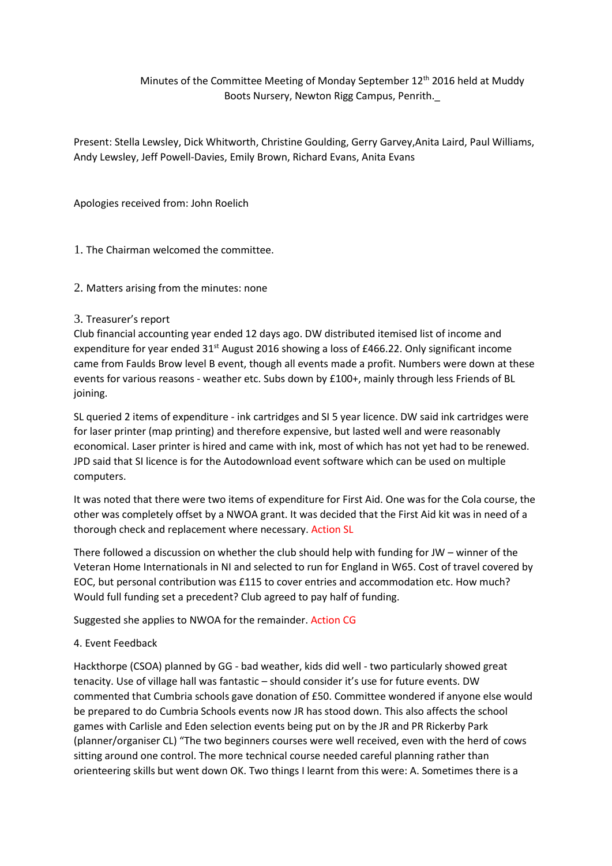## Minutes of the Committee Meeting of Monday September 12<sup>th</sup> 2016 held at Muddy Boots Nursery, Newton Rigg Campus, Penrith.\_

Present: Stella Lewsley, Dick Whitworth, Christine Goulding, Gerry Garvey,Anita Laird, Paul Williams, Andy Lewsley, Jeff Powell-Davies, Emily Brown, Richard Evans, Anita Evans

Apologies received from: John Roelich

1. The Chairman welcomed the committee.

2. Matters arising from the minutes: none

### 3. Treasurer's report

Club financial accounting year ended 12 days ago. DW distributed itemised list of income and expenditure for year ended  $31<sup>st</sup>$  August 2016 showing a loss of £466.22. Only significant income came from Faulds Brow level B event, though all events made a profit. Numbers were down at these events for various reasons - weather etc. Subs down by £100+, mainly through less Friends of BL joining.

SL queried 2 items of expenditure - ink cartridges and SI 5 year licence. DW said ink cartridges were for laser printer (map printing) and therefore expensive, but lasted well and were reasonably economical. Laser printer is hired and came with ink, most of which has not yet had to be renewed. JPD said that SI licence is for the Autodownload event software which can be used on multiple computers.

It was noted that there were two items of expenditure for First Aid. One was for the Cola course, the other was completely offset by a NWOA grant. It was decided that the First Aid kit was in need of a thorough check and replacement where necessary. Action SL

There followed a discussion on whether the club should help with funding for JW – winner of the Veteran Home Internationals in NI and selected to run for England in W65. Cost of travel covered by EOC, but personal contribution was £115 to cover entries and accommodation etc. How much? Would full funding set a precedent? Club agreed to pay half of funding.

Suggested she applies to NWOA for the remainder. Action CG

### 4. Event Feedback

Hackthorpe (CSOA) planned by GG - bad weather, kids did well - two particularly showed great tenacity. Use of village hall was fantastic – should consider it's use for future events. DW commented that Cumbria schools gave donation of £50. Committee wondered if anyone else would be prepared to do Cumbria Schools events now JR has stood down. This also affects the school games with Carlisle and Eden selection events being put on by the JR and PR Rickerby Park (planner/organiser CL) "The two beginners courses were well received, even with the herd of cows sitting around one control. The more technical course needed careful planning rather than orienteering skills but went down OK. Two things I learnt from this were: A. Sometimes there is a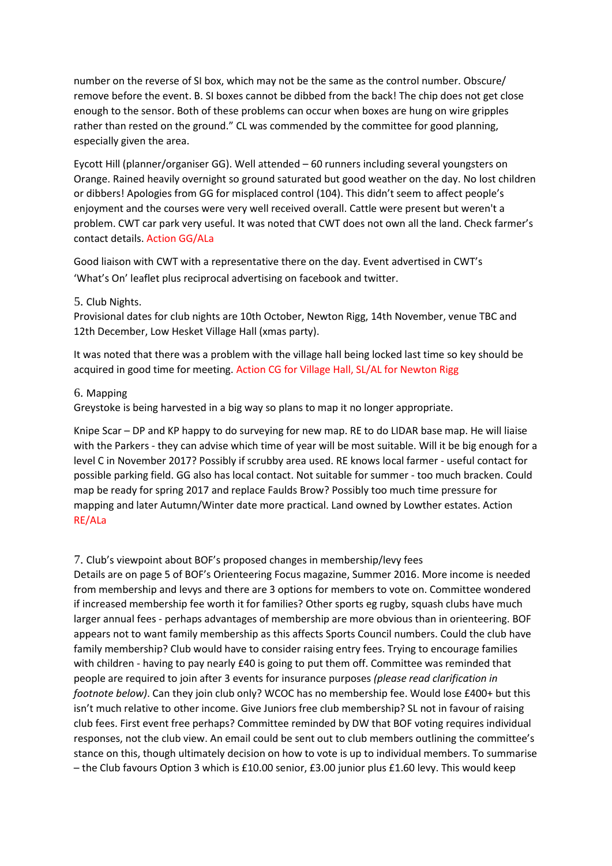number on the reverse of SI box, which may not be the same as the control number. Obscure/ remove before the event. B. SI boxes cannot be dibbed from the back! The chip does not get close enough to the sensor. Both of these problems can occur when boxes are hung on wire gripples rather than rested on the ground." CL was commended by the committee for good planning, especially given the area.

Eycott Hill (planner/organiser GG). Well attended – 60 runners including several youngsters on Orange. Rained heavily overnight so ground saturated but good weather on the day. No lost children or dibbers! Apologies from GG for misplaced control (104). This didn't seem to affect people's enjoyment and the courses were very well received overall. Cattle were present but weren't a problem. CWT car park very useful. It was noted that CWT does not own all the land. Check farmer's contact details. Action GG/ALa

Good liaison with CWT with a representative there on the day. Event advertised in CWT's 'What's On' leaflet plus reciprocal advertising on facebook and twitter.

### 5. Club Nights.

Provisional dates for club nights are 10th October, Newton Rigg, 14th November, venue TBC and 12th December, Low Hesket Village Hall (xmas party).

It was noted that there was a problem with the village hall being locked last time so key should be acquired in good time for meeting. Action CG for Village Hall, SL/AL for Newton Rigg

#### 6. Mapping

Greystoke is being harvested in a big way so plans to map it no longer appropriate.

Knipe Scar – DP and KP happy to do surveying for new map. RE to do LIDAR base map. He will liaise with the Parkers - they can advise which time of year will be most suitable. Will it be big enough for a level C in November 2017? Possibly if scrubby area used. RE knows local farmer - useful contact for possible parking field. GG also has local contact. Not suitable for summer - too much bracken. Could map be ready for spring 2017 and replace Faulds Brow? Possibly too much time pressure for mapping and later Autumn/Winter date more practical. Land owned by Lowther estates. Action RE/ALa

#### 7. Club's viewpoint about BOF's proposed changes in membership/levy fees

Details are on page 5 of BOF's Orienteering Focus magazine, Summer 2016. More income is needed from membership and levys and there are 3 options for members to vote on. Committee wondered if increased membership fee worth it for families? Other sports eg rugby, squash clubs have much larger annual fees - perhaps advantages of membership are more obvious than in orienteering. BOF appears not to want family membership as this affects Sports Council numbers. Could the club have family membership? Club would have to consider raising entry fees. Trying to encourage families with children - having to pay nearly £40 is going to put them off. Committee was reminded that people are required to join after 3 events for insurance purposes *(please read clarification in footnote below)*. Can they join club only? WCOC has no membership fee. Would lose £400+ but this isn't much relative to other income. Give Juniors free club membership? SL not in favour of raising club fees. First event free perhaps? Committee reminded by DW that BOF voting requires individual responses, not the club view. An email could be sent out to club members outlining the committee's stance on this, though ultimately decision on how to vote is up to individual members. To summarise – the Club favours Option 3 which is £10.00 senior, £3.00 junior plus £1.60 levy. This would keep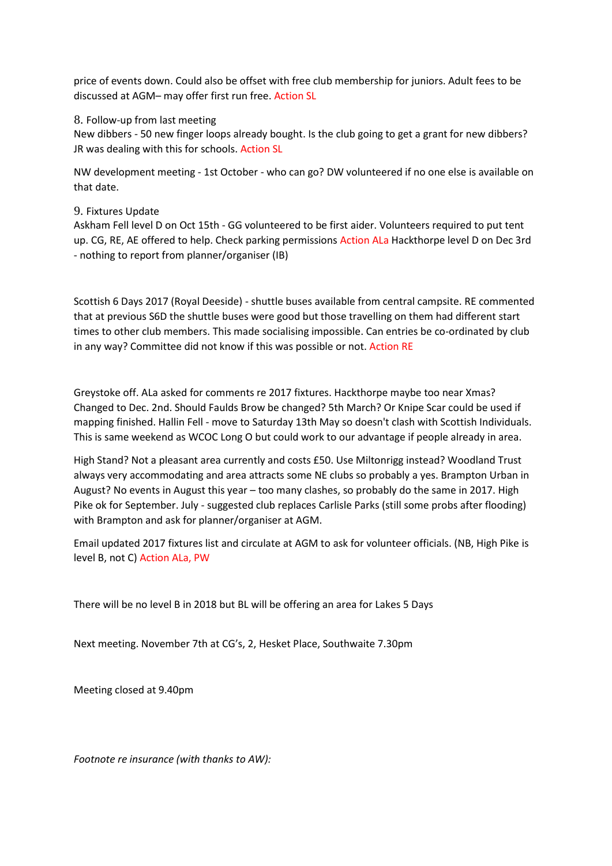price of events down. Could also be offset with free club membership for juniors. Adult fees to be discussed at AGM– may offer first run free. Action SL

8. Follow-up from last meeting

New dibbers - 50 new finger loops already bought. Is the club going to get a grant for new dibbers? JR was dealing with this for schools. Action SL

NW development meeting - 1st October - who can go? DW volunteered if no one else is available on that date.

### 9. Fixtures Update

Askham Fell level D on Oct 15th - GG volunteered to be first aider. Volunteers required to put tent up. CG, RE, AE offered to help. Check parking permissions Action ALa Hackthorpe level D on Dec 3rd - nothing to report from planner/organiser (IB)

Scottish 6 Days 2017 (Royal Deeside) - shuttle buses available from central campsite. RE commented that at previous S6D the shuttle buses were good but those travelling on them had different start times to other club members. This made socialising impossible. Can entries be co-ordinated by club in any way? Committee did not know if this was possible or not. Action RE

Greystoke off. ALa asked for comments re 2017 fixtures. Hackthorpe maybe too near Xmas? Changed to Dec. 2nd. Should Faulds Brow be changed? 5th March? Or Knipe Scar could be used if mapping finished. Hallin Fell - move to Saturday 13th May so doesn't clash with Scottish Individuals. This is same weekend as WCOC Long O but could work to our advantage if people already in area.

High Stand? Not a pleasant area currently and costs £50. Use Miltonrigg instead? Woodland Trust always very accommodating and area attracts some NE clubs so probably a yes. Brampton Urban in August? No events in August this year – too many clashes, so probably do the same in 2017. High Pike ok for September. July - suggested club replaces Carlisle Parks (still some probs after flooding) with Brampton and ask for planner/organiser at AGM.

Email updated 2017 fixtures list and circulate at AGM to ask for volunteer officials. (NB, High Pike is level B, not C) Action ALa, PW

There will be no level B in 2018 but BL will be offering an area for Lakes 5 Days

Next meeting. November 7th at CG's, 2, Hesket Place, Southwaite 7.30pm

Meeting closed at 9.40pm

*Footnote re insurance (with thanks to AW):*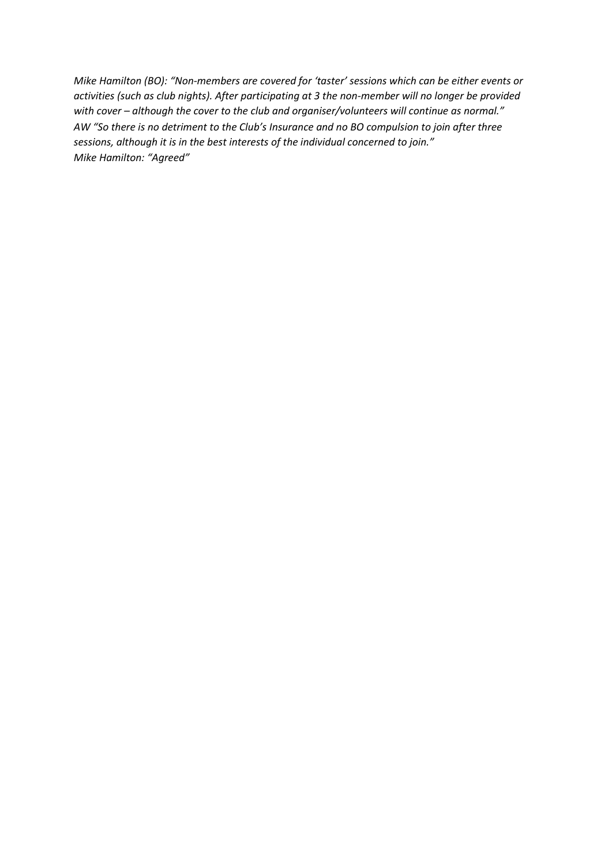*Mike Hamilton (BO): "Non-members are covered for 'taster' sessions which can be either events or activities (such as club nights). After participating at 3 the non-member will no longer be provided with cover – although the cover to the club and organiser/volunteers will continue as normal." AW "So there is no detriment to the Club's Insurance and no BO compulsion to join after three sessions, although it is in the best interests of the individual concerned to join." Mike Hamilton: "Agreed"*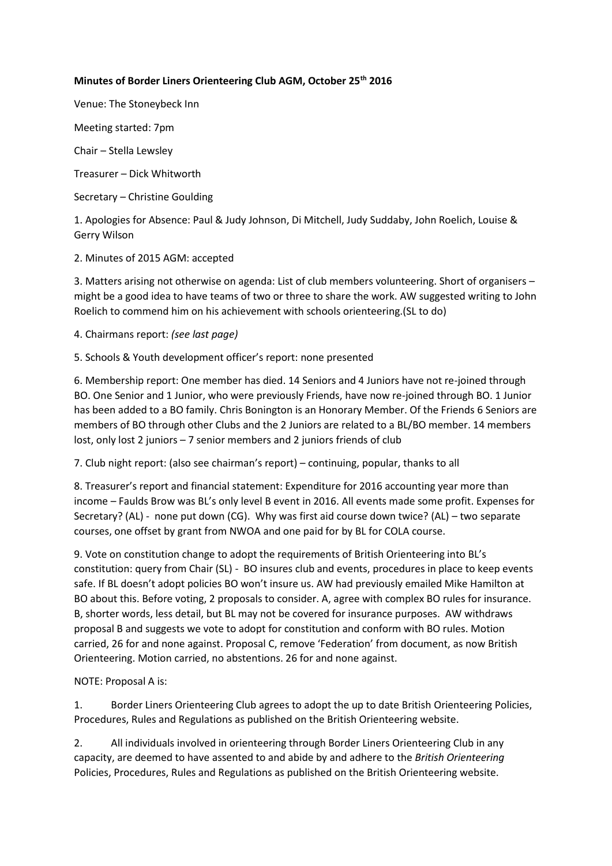### **Minutes of Border Liners Orienteering Club AGM, October 25th 2016**

Venue: The Stoneybeck Inn

Meeting started: 7pm

Chair – Stella Lewsley

Treasurer – Dick Whitworth

Secretary – Christine Goulding

1. Apologies for Absence: Paul & Judy Johnson, Di Mitchell, Judy Suddaby, John Roelich, Louise & Gerry Wilson

2. Minutes of 2015 AGM: accepted

3. Matters arising not otherwise on agenda: List of club members volunteering. Short of organisers – might be a good idea to have teams of two or three to share the work. AW suggested writing to John Roelich to commend him on his achievement with schools orienteering.(SL to do)

4. Chairmans report: *(see last page)*

5. Schools & Youth development officer's report: none presented

6. Membership report: One member has died. 14 Seniors and 4 Juniors have not re-joined through BO. One Senior and 1 Junior, who were previously Friends, have now re-joined through BO. 1 Junior has been added to a BO family. Chris Bonington is an Honorary Member. Of the Friends 6 Seniors are members of BO through other Clubs and the 2 Juniors are related to a BL/BO member. 14 members lost, only lost 2 juniors – 7 senior members and 2 juniors friends of club

7. Club night report: (also see chairman's report) – continuing, popular, thanks to all

8. Treasurer's report and financial statement: Expenditure for 2016 accounting year more than income – Faulds Brow was BL's only level B event in 2016. All events made some profit. Expenses for Secretary? (AL) - none put down (CG). Why was first aid course down twice? (AL) – two separate courses, one offset by grant from NWOA and one paid for by BL for COLA course.

9. Vote on constitution change to adopt the requirements of British Orienteering into BL's constitution: query from Chair (SL) - BO insures club and events, procedures in place to keep events safe. If BL doesn't adopt policies BO won't insure us. AW had previously emailed Mike Hamilton at BO about this. Before voting, 2 proposals to consider. A, agree with complex BO rules for insurance. B, shorter words, less detail, but BL may not be covered for insurance purposes. AW withdraws proposal B and suggests we vote to adopt for constitution and conform with BO rules. Motion carried, 26 for and none against. Proposal C, remove 'Federation' from document, as now British Orienteering. Motion carried, no abstentions. 26 for and none against.

NOTE: Proposal A is:

1. Border Liners Orienteering Club agrees to adopt the up to date British Orienteering Policies, Procedures, Rules and Regulations as published on the British Orienteering website.

2. All individuals involved in orienteering through Border Liners Orienteering Club in any capacity, are deemed to have assented to and abide by and adhere to the *British Orienteering*  Policies, Procedures, Rules and Regulations as published on the British Orienteering website.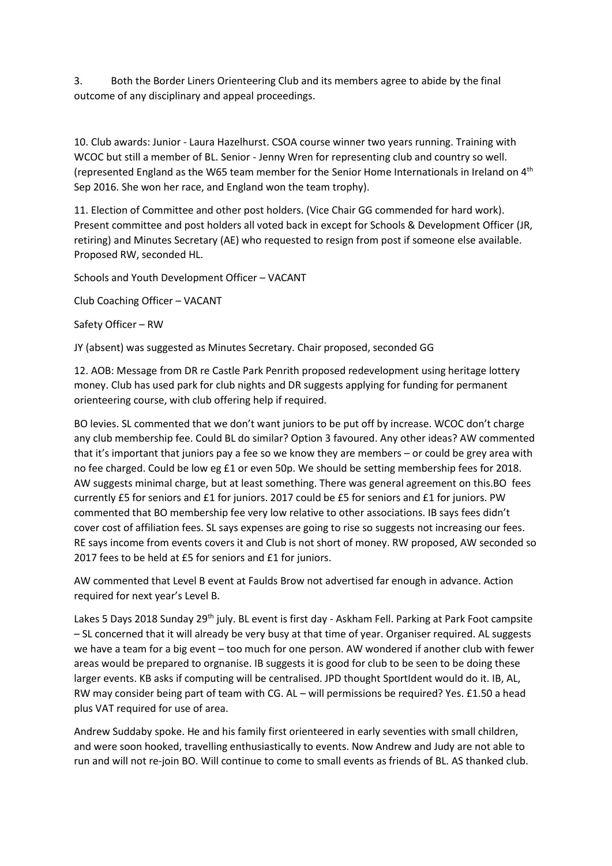3. Both the Border Liners Orienteering Club and its members agree to abide by the final outcome of any disciplinary and appeal proceedings.

10. Club awards: Junior - Laura Hazelhurst. CSOA course winner two years running. Training with WCOC but still a member of BL. Senior - Jenny Wren for representing club and country so well. (represented England as the W65 team member for the Senior Home Internationals in Ireland on 4th Sep 2016. She won her race, and England won the team trophy).

11. Election of Committee and other post holders. (Vice Chair GG commended for hard work). Present committee and post holders all voted back in except for Schools & Development Officer (JR, retiring) and Minutes Secretary (AE) who requested to resign from post if someone else available. Proposed RW, seconded HL.

Schools and Youth Development Officer – VACANT

Club Coaching Officer – VACANT

Safety Officer – RW

JY (absent) was suggested as Minutes Secretary. Chair proposed, seconded GG

12. AOB: Message from DR re Castle Park Penrith proposed redevelopment using heritage lottery money. Club has used park for club nights and DR suggests applying for funding for permanent orienteering course, with club offering help if required.

BO levies. SL commented that we don't want juniors to be put off by increase. WCOC don't charge any club membership fee. Could BL do similar? Option 3 favoured. Any other ideas? AW commented that it's important that juniors pay a fee so we know they are members – or could be grey area with no fee charged. Could be low eg £1 or even 50p. We should be setting membership fees for 2018. AW suggests minimal charge, but at least something. There was general agreement on this.BO fees currently £5 for seniors and £1 for juniors. 2017 could be £5 for seniors and £1 for juniors. PW commented that BO membership fee very low relative to other associations. IB says fees didn't cover cost of affiliation fees. SL says expenses are going to rise so suggests not increasing our fees. RE says income from events covers it and Club is not short of money. RW proposed, AW seconded so 2017 fees to be held at £5 for seniors and £1 for juniors.

AW commented that Level B event at Faulds Brow not advertised far enough in advance. Action required for next year's Level B.

Lakes 5 Days 2018 Sunday 29<sup>th</sup> july. BL event is first day - Askham Fell. Parking at Park Foot campsite – SL concerned that it will already be very busy at that time of year. Organiser required. AL suggests we have a team for a big event – too much for one person. AW wondered if another club with fewer areas would be prepared to orgnanise. IB suggests it is good for club to be seen to be doing these larger events. KB asks if computing will be centralised. JPD thought SportIdent would do it. IB, AL, RW may consider being part of team with CG. AL – will permissions be required? Yes. £1.50 a head plus VAT required for use of area.

Andrew Suddaby spoke. He and his family first orienteered in early seventies with small children, and were soon hooked, travelling enthusiastically to events. Now Andrew and Judy are not able to run and will not re-join BO. Will continue to come to small events as friends of BL. AS thanked club.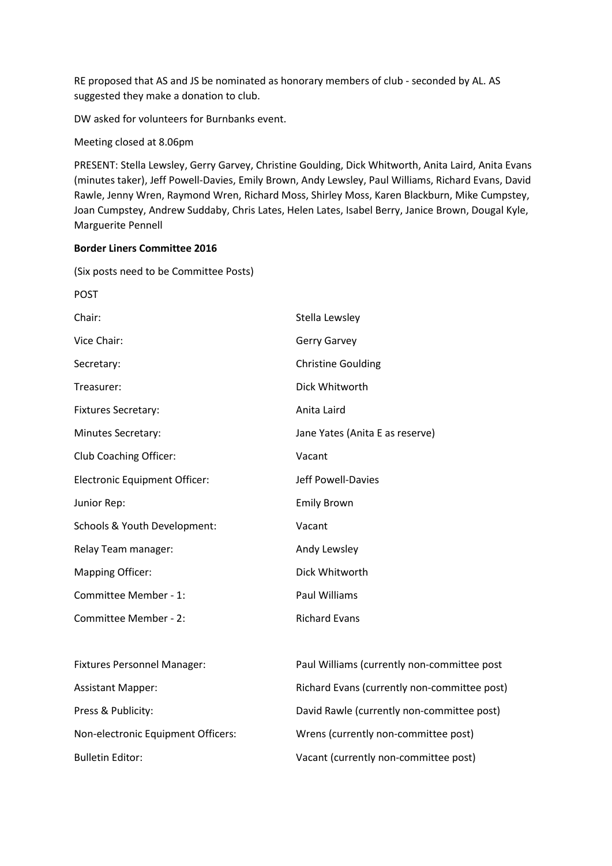RE proposed that AS and JS be nominated as honorary members of club - seconded by AL. AS suggested they make a donation to club.

DW asked for volunteers for Burnbanks event.

Meeting closed at 8.06pm

PRESENT: Stella Lewsley, Gerry Garvey, Christine Goulding, Dick Whitworth, Anita Laird, Anita Evans (minutes taker), Jeff Powell-Davies, Emily Brown, Andy Lewsley, Paul Williams, Richard Evans, David Rawle, Jenny Wren, Raymond Wren, Richard Moss, Shirley Moss, Karen Blackburn, Mike Cumpstey, Joan Cumpstey, Andrew Suddaby, Chris Lates, Helen Lates, Isabel Berry, Janice Brown, Dougal Kyle, Marguerite Pennell

#### **Border Liners Committee 2016**

(Six posts need to be Committee Posts)

| <b>POST</b>                          |                                   |
|--------------------------------------|-----------------------------------|
| Chair:                               | Stella Lewsley                    |
| Vice Chair:                          | <b>Gerry Garvey</b>               |
| Secretary:                           | <b>Christine Goulding</b>         |
| Treasurer:                           | Dick Whitworth                    |
| <b>Fixtures Secretary:</b>           | Anita Laird                       |
| Minutes Secretary:                   | Jane Yates (Anita E as reserve)   |
| Club Coaching Officer:               | Vacant                            |
| <b>Electronic Equipment Officer:</b> | Jeff Powell-Davies                |
| Junior Rep:                          | <b>Emily Brown</b>                |
| Schools & Youth Development:         | Vacant                            |
| Relay Team manager:                  | Andy Lewsley                      |
| <b>Mapping Officer:</b>              | Dick Whitworth                    |
| Committee Member - 1:                | <b>Paul Williams</b>              |
| Committee Member - 2:                | <b>Richard Evans</b>              |
|                                      |                                   |
| <b>Fixtures Personnel Manager:</b>   | Paul Williams (currently non-comm |
| <b>Assistant Mapper:</b>             | Richard Evans (currently non-comn |
|                                      |                                   |

nittee post mittee post) Press & Publicity: The South Cavid Rawle (currently non-committee post) Non-electronic Equipment Officers: Wrens (currently non-committee post) Bulletin Editor: Vacant (currently non-committee post)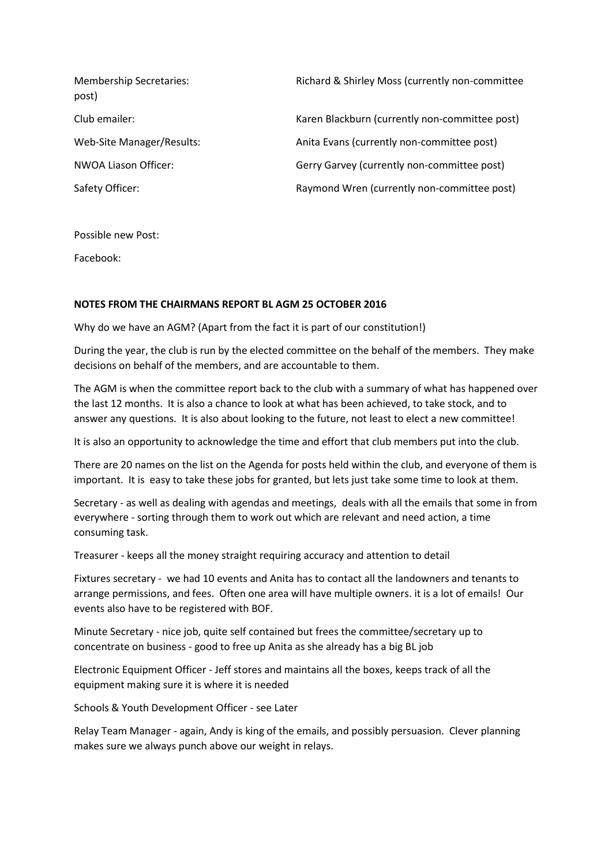| <b>Membership Secretaries:</b><br>post) | Richard & Shirley Moss (currently non-committee |
|-----------------------------------------|-------------------------------------------------|
| Club emailer:                           | Karen Blackburn (currently non-committee post)  |
| Web-Site Manager/Results:               | Anita Evans (currently non-committee post)      |
| NWOA Liason Officer:                    | Gerry Garvey (currently non-committee post)     |
| Safety Officer:                         | Raymond Wren (currently non-committee post)     |

Possible new Post:

Facebook:

#### **NOTES FROM THE CHAIRMANS REPORT BL AGM 25 OCTOBER 2016**

Why do we have an AGM? (Apart from the fact it is part of our constitution!)

During the year, the club is run by the elected committee on the behalf of the members. They make decisions on behalf of the members, and are accountable to them.

The AGM is when the committee report back to the club with a summary of what has happened over the last 12 months. It is also a chance to look at what has been achieved, to take stock, and to answer any questions. It is also about looking to the future, not least to elect a new committee!

It is also an opportunity to acknowledge the time and effort that club members put into the club.

There are 20 names on the list on the Agenda for posts held within the club, and everyone of them is important. It is easy to take these jobs for granted, but lets just take some time to look at them.

Secretary - as well as dealing with agendas and meetings, deals with all the emails that some in from everywhere - sorting through them to work out which are relevant and need action, a time consuming task.

Treasurer - keeps all the money straight requiring accuracy and attention to detail

Fixtures secretary - we had 10 events and Anita has to contact all the landowners and tenants to arrange permissions, and fees. Often one area will have multiple owners. it is a lot of emails! Our events also have to be registered with BOF.

Minute Secretary - nice job, quite self contained but frees the committee/secretary up to concentrate on business - good to free up Anita as she already has a big BL job

Electronic Equipment Officer - Jeff stores and maintains all the boxes, keeps track of all the equipment making sure it is where it is needed

Schools & Youth Development Officer - see Later

Relay Team Manager - again, Andy is king of the emails, and possibly persuasion. Clever planning makes sure we always punch above our weight in relays.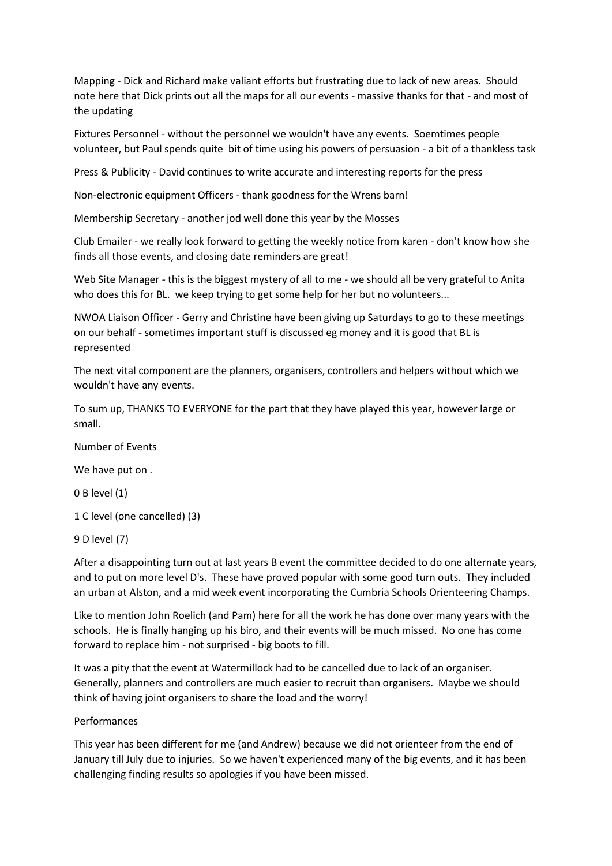Mapping - Dick and Richard make valiant efforts but frustrating due to lack of new areas. Should note here that Dick prints out all the maps for all our events - massive thanks for that - and most of the updating

Fixtures Personnel - without the personnel we wouldn't have any events. Soemtimes people volunteer, but Paul spends quite bit of time using his powers of persuasion - a bit of a thankless task

Press & Publicity - David continues to write accurate and interesting reports for the press

Non-electronic equipment Officers - thank goodness for the Wrens barn!

Membership Secretary - another jod well done this year by the Mosses

Club Emailer - we really look forward to getting the weekly notice from karen - don't know how she finds all those events, and closing date reminders are great!

Web Site Manager - this is the biggest mystery of all to me - we should all be very grateful to Anita who does this for BL. we keep trying to get some help for her but no volunteers...

NWOA Liaison Officer - Gerry and Christine have been giving up Saturdays to go to these meetings on our behalf - sometimes important stuff is discussed eg money and it is good that BL is represented

The next vital component are the planners, organisers, controllers and helpers without which we wouldn't have any events.

To sum up, THANKS TO EVERYONE for the part that they have played this year, however large or small.

Number of Events

We have put on .

0 B level (1)

1 C level (one cancelled) (3)

9 D level (7)

After a disappointing turn out at last years B event the committee decided to do one alternate years, and to put on more level D's. These have proved popular with some good turn outs. They included an urban at Alston, and a mid week event incorporating the Cumbria Schools Orienteering Champs.

Like to mention John Roelich (and Pam) here for all the work he has done over many years with the schools. He is finally hanging up his biro, and their events will be much missed. No one has come forward to replace him - not surprised - big boots to fill.

It was a pity that the event at Watermillock had to be cancelled due to lack of an organiser. Generally, planners and controllers are much easier to recruit than organisers. Maybe we should think of having joint organisers to share the load and the worry!

#### Performances

This year has been different for me (and Andrew) because we did not orienteer from the end of January till July due to injuries. So we haven't experienced many of the big events, and it has been challenging finding results so apologies if you have been missed.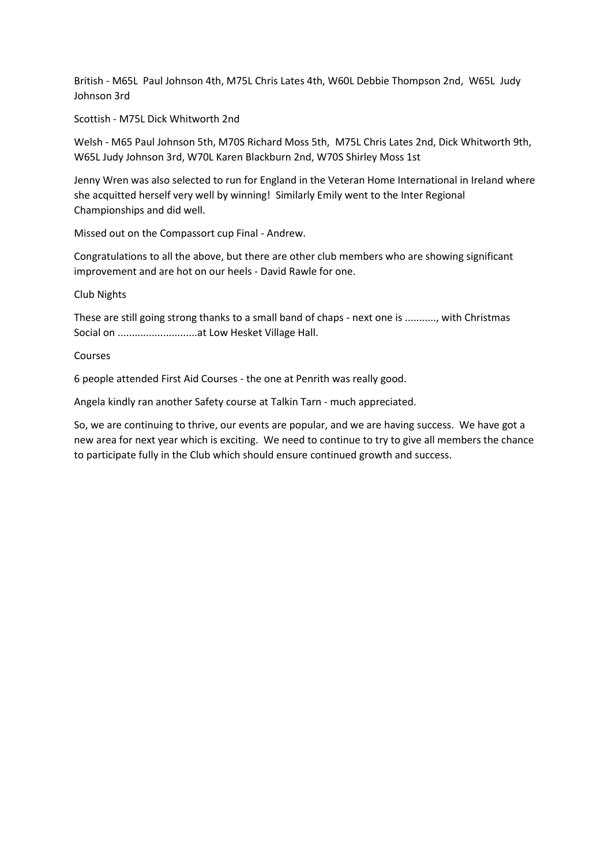British - M65L Paul Johnson 4th, M75L Chris Lates 4th, W60L Debbie Thompson 2nd, W65L Judy Johnson 3rd

Scottish - M75L Dick Whitworth 2nd

Welsh - M65 Paul Johnson 5th, M70S Richard Moss 5th, M75L Chris Lates 2nd, Dick Whitworth 9th, W65L Judy Johnson 3rd, W70L Karen Blackburn 2nd, W70S Shirley Moss 1st

Jenny Wren was also selected to run for England in the Veteran Home International in Ireland where she acquitted herself very well by winning! Similarly Emily went to the Inter Regional Championships and did well.

Missed out on the Compassort cup Final - Andrew.

Congratulations to all the above, but there are other club members who are showing significant improvement and are hot on our heels - David Rawle for one.

#### Club Nights

These are still going strong thanks to a small band of chaps - next one is ..........., with Christmas Social on ............................at Low Hesket Village Hall.

### Courses

6 people attended First Aid Courses - the one at Penrith was really good.

Angela kindly ran another Safety course at Talkin Tarn - much appreciated.

So, we are continuing to thrive, our events are popular, and we are having success. We have got a new area for next year which is exciting. We need to continue to try to give all members the chance to participate fully in the Club which should ensure continued growth and success.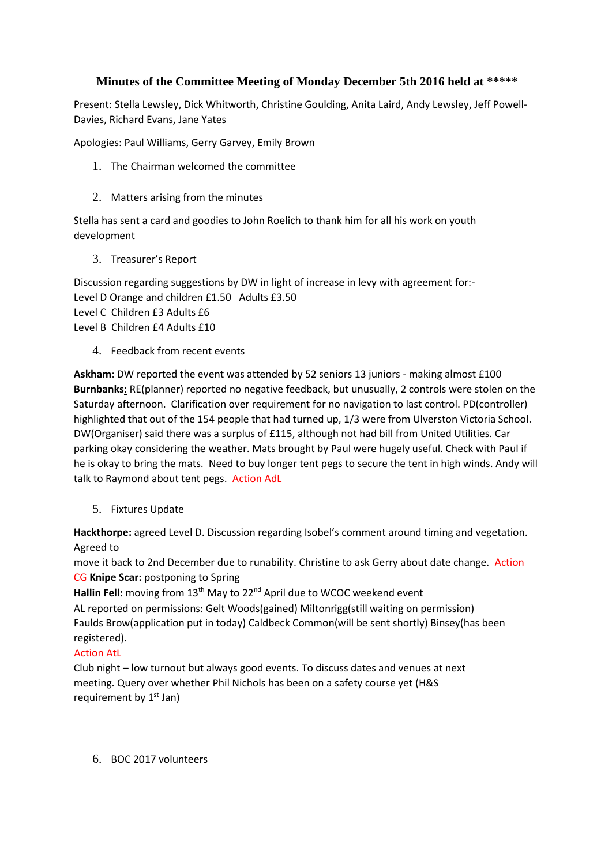## **Minutes of the Committee Meeting of Monday December 5th 2016 held at \*\*\*\*\***

Present: Stella Lewsley, Dick Whitworth, Christine Goulding, Anita Laird, Andy Lewsley, Jeff Powell-Davies, Richard Evans, Jane Yates

Apologies: Paul Williams, Gerry Garvey, Emily Brown

- 1. The Chairman welcomed the committee
- 2. Matters arising from the minutes

Stella has sent a card and goodies to John Roelich to thank him for all his work on youth development

3. Treasurer's Report

Discussion regarding suggestions by DW in light of increase in levy with agreement for:- Level D Orange and children £1.50 Adults £3.50 Level C Children £3 Adults £6 Level B Children £4 Adults £10

4. Feedback from recent events

**Askham**: DW reported the event was attended by 52 seniors 13 juniors - making almost £100 **Burnbanks:** RE(planner) reported no negative feedback, but unusually, 2 controls were stolen on the Saturday afternoon. Clarification over requirement for no navigation to last control. PD(controller) highlighted that out of the 154 people that had turned up, 1/3 were from Ulverston Victoria School. DW(Organiser) said there was a surplus of £115, although not had bill from United Utilities. Car parking okay considering the weather. Mats brought by Paul were hugely useful. Check with Paul if he is okay to bring the mats. Need to buy longer tent pegs to secure the tent in high winds. Andy will talk to Raymond about tent pegs. Action AdL

5. Fixtures Update

**Hackthorpe:** agreed Level D. Discussion regarding Isobel's comment around timing and vegetation. Agreed to

move it back to 2nd December due to runability. Christine to ask Gerry about date change. Action CG **Knipe Scar:** postponing to Spring

**Hallin Fell:** moving from 13<sup>th</sup> May to 22<sup>nd</sup> April due to WCOC weekend event AL reported on permissions: Gelt Woods(gained) Miltonrigg(still waiting on permission) Faulds Brow(application put in today) Caldbeck Common(will be sent shortly) Binsey(has been registered).

## Action AtL

Club night – low turnout but always good events. To discuss dates and venues at next meeting. Query over whether Phil Nichols has been on a safety course yet (H&S requirement by  $1<sup>st</sup>$  Jan)

6. BOC 2017 volunteers